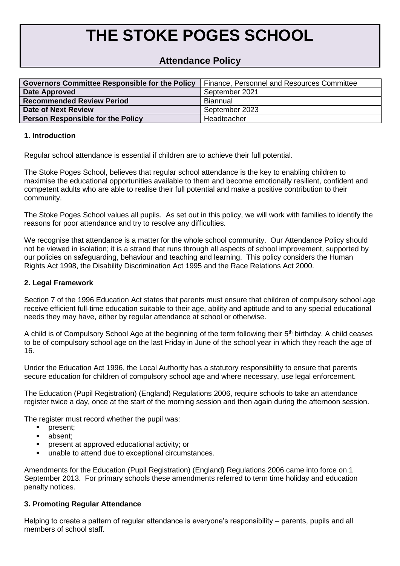# **THE STOKE POGES SCHOOL**

## **Attendance Policy**

| <b>Governors Committee Responsible for the Policy</b> | <b>Finance, Personnel and Resources Committee</b> |
|-------------------------------------------------------|---------------------------------------------------|
| Date Approved                                         | September 2021                                    |
| <b>Recommended Review Period</b>                      | Biannual                                          |
| Date of Next Review                                   | September 2023                                    |
| <b>Person Responsible for the Policy</b>              | Headteacher                                       |

## **1. Introduction**

Regular school attendance is essential if children are to achieve their full potential.

The Stoke Poges School, believes that regular school attendance is the key to enabling children to maximise the educational opportunities available to them and become emotionally resilient, confident and competent adults who are able to realise their full potential and make a positive contribution to their community.

The Stoke Poges School values all pupils. As set out in this policy, we will work with families to identify the reasons for poor attendance and try to resolve any difficulties.

We recognise that attendance is a matter for the whole school community. Our Attendance Policy should not be viewed in isolation; it is a strand that runs through all aspects of school improvement, supported by our policies on safeguarding, behaviour and teaching and learning. This policy considers the Human Rights Act 1998, the Disability Discrimination Act 1995 and the Race Relations Act 2000.

## **2. Legal Framework**

Section 7 of the 1996 Education Act states that parents must ensure that children of compulsory school age receive efficient full-time education suitable to their age, ability and aptitude and to any special educational needs they may have, either by regular attendance at school or otherwise.

A child is of Compulsory School Age at the beginning of the term following their 5<sup>th</sup> birthday. A child ceases to be of compulsory school age on the last Friday in June of the school year in which they reach the age of 16.

Under the Education Act 1996, the Local Authority has a statutory responsibility to ensure that parents secure education for children of compulsory school age and where necessary, use legal enforcement.

The Education (Pupil Registration) (England) Regulations 2006, require schools to take an attendance register twice a day, once at the start of the morning session and then again during the afternoon session.

The register must record whether the pupil was:

- **•** present;
- absent:
- **•** present at approved educational activity; or
- unable to attend due to exceptional circumstances.

Amendments for the Education (Pupil Registration) (England) Regulations 2006 came into force on 1 September 2013. For primary schools these amendments referred to term time holiday and education penalty notices.

## **3. Promoting Regular Attendance**

Helping to create a pattern of regular attendance is everyone's responsibility – parents, pupils and all members of school staff.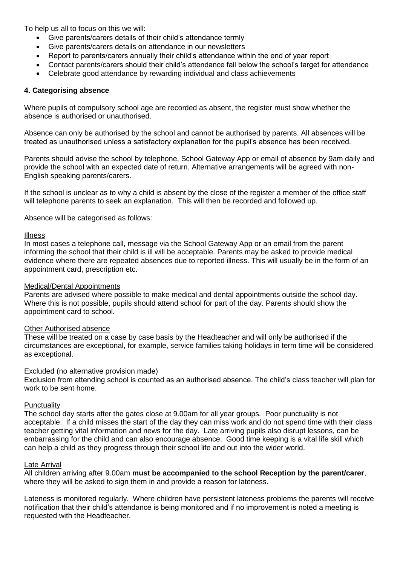To help us all to focus on this we will:

- Give parents/carers details of their child's attendance termly
- Give parents/carers details on attendance in our newsletters
- Report to parents/carers annually their child's attendance within the end of year report
- Contact parents/carers should their child's attendance fall below the school's target for attendance
- Celebrate good attendance by rewarding individual and class achievements

## **4. Categorising absence**

Where pupils of compulsory school age are recorded as absent, the register must show whether the absence is authorised or unauthorised.

Absence can only be authorised by the school and cannot be authorised by parents. All absences will be treated as unauthorised unless a satisfactory explanation for the pupil's absence has been received.

Parents should advise the school by telephone, School Gateway App or email of absence by 9am daily and provide the school with an expected date of return. Alternative arrangements will be agreed with non-English speaking parents/carers.

If the school is unclear as to why a child is absent by the close of the register a member of the office staff will telephone parents to seek an explanation. This will then be recorded and followed up.

Absence will be categorised as follows:

#### Illness

In most cases a telephone call, message via the School Gateway App or an email from the parent informing the school that their child is ill will be acceptable. Parents may be asked to provide medical evidence where there are repeated absences due to reported illness. This will usually be in the form of an appointment card, prescription etc.

#### Medical/Dental Appointments

Parents are advised where possible to make medical and dental appointments outside the school day. Where this is not possible, pupils should attend school for part of the day. Parents should show the appointment card to school.

#### **Other Authorised absence**

These will be treated on a case by case basis by the Headteacher and will only be authorised if the circumstances are exceptional, for example, service families taking holidays in term time will be considered as exceptional.

## Excluded (no alternative provision made)

Exclusion from attending school is counted as an authorised absence. The child's class teacher will plan for work to be sent home.

#### **Punctuality**

The school day starts after the gates close at 9.00am for all year groups. Poor punctuality is not acceptable. If a child misses the start of the day they can miss work and do not spend time with their class teacher getting vital information and news for the day. Late arriving pupils also disrupt lessons, can be embarrassing for the child and can also encourage absence. Good time keeping is a vital life skill which can help a child as they progress through their school life and out into the wider world.

#### **Late Arrival**

All children arriving after 9.00am **must be accompanied to the school Reception by the parent/carer**, where they will be asked to sign them in and provide a reason for lateness.

Lateness is monitored regularly. Where children have persistent lateness problems the parents will receive notification that their child's attendance is being monitored and if no improvement is noted a meeting is requested with the Headteacher.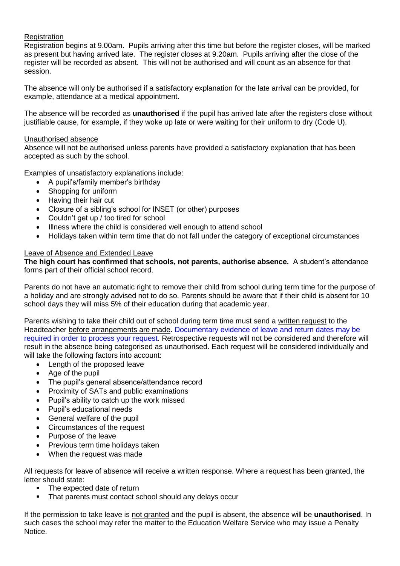## **Registration**

Registration begins at 9.00am. Pupils arriving after this time but before the register closes, will be marked as present but having arrived late. The register closes at 9.20am. Pupils arriving after the close of the register will be recorded as absent. This will not be authorised and will count as an absence for that session.

The absence will only be authorised if a satisfactory explanation for the late arrival can be provided, for example, attendance at a medical appointment.

The absence will be recorded as **unauthorised** if the pupil has arrived late after the registers close without justifiable cause, for example, if they woke up late or were waiting for their uniform to dry (Code U).

## Unauthorised absence

Absence will not be authorised unless parents have provided a satisfactory explanation that has been accepted as such by the school.

Examples of unsatisfactory explanations include:

- A pupil's/family member's birthday
- Shopping for uniform
- Having their hair cut
- Closure of a sibling's school for INSET (or other) purposes
- Couldn't get up / too tired for school
- Illness where the child is considered well enough to attend school
- Holidays taken within term time that do not fall under the category of exceptional circumstances

## Leave of Absence and Extended Leave

**The high court has confirmed that schools, not parents, authorise absence.** A student's attendance forms part of their official school record.

Parents do not have an automatic right to remove their child from school during term time for the purpose of a holiday and are strongly advised not to do so. Parents should be aware that if their child is absent for 10 school days they will miss 5% of their education during that academic year.

Parents wishing to take their child out of school during term time must send a written request to the Headteacher before arrangements are made. Documentary evidence of leave and return dates may be required in order to process your request. Retrospective requests will not be considered and therefore will result in the absence being categorised as unauthorised. Each request will be considered individually and will take the following factors into account:

- Length of the proposed leave
- Age of the pupil
- The pupil's general absence/attendance record
- Proximity of SATs and public examinations
- Pupil's ability to catch up the work missed
- Pupil's educational needs
- General welfare of the pupil
- Circumstances of the request
- Purpose of the leave
- Previous term time holidays taken
- When the request was made

All requests for leave of absence will receive a written response. Where a request has been granted, the letter should state:

- The expected date of return
- That parents must contact school should any delays occur

If the permission to take leave is not granted and the pupil is absent, the absence will be **unauthorised**. In such cases the school may refer the matter to the Education Welfare Service who may issue a Penalty Notice.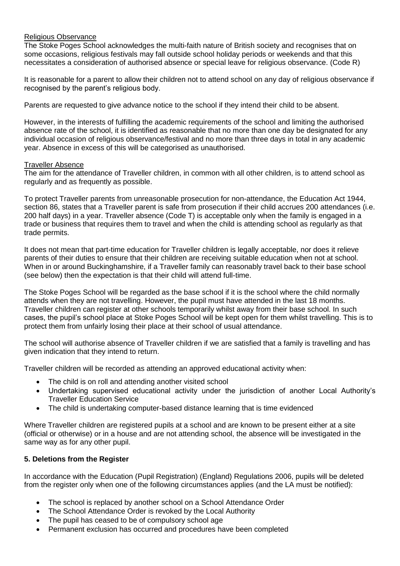## Religious Observance

The Stoke Poges School acknowledges the multi-faith nature of British society and recognises that on some occasions, religious festivals may fall outside school holiday periods or weekends and that this necessitates a consideration of authorised absence or special leave for religious observance. (Code R)

It is reasonable for a parent to allow their children not to attend school on any day of religious observance if recognised by the parent's religious body.

Parents are requested to give advance notice to the school if they intend their child to be absent.

However, in the interests of fulfilling the academic requirements of the school and limiting the authorised absence rate of the school, it is identified as reasonable that no more than one day be designated for any individual occasion of religious observance/festival and no more than three days in total in any academic year. Absence in excess of this will be categorised as unauthorised.

#### Traveller Absence

The aim for the attendance of Traveller children, in common with all other children, is to attend school as regularly and as frequently as possible.

To protect Traveller parents from unreasonable prosecution for non-attendance, the Education Act 1944, section 86, states that a Traveller parent is safe from prosecution if their child accrues 200 attendances (i.e. 200 half days) in a year. Traveller absence (Code T) is acceptable only when the family is engaged in a trade or business that requires them to travel and when the child is attending school as regularly as that trade permits.

It does not mean that part-time education for Traveller children is legally acceptable, nor does it relieve parents of their duties to ensure that their children are receiving suitable education when not at school. When in or around Buckinghamshire, if a Traveller family can reasonably travel back to their base school (see below) then the expectation is that their child will attend full-time.

The Stoke Poges School will be regarded as the base school if it is the school where the child normally attends when they are not travelling. However, the pupil must have attended in the last 18 months. Traveller children can register at other schools temporarily whilst away from their base school. In such cases, the pupil's school place at Stoke Poges School will be kept open for them whilst travelling. This is to protect them from unfairly losing their place at their school of usual attendance.

The school will authorise absence of Traveller children if we are satisfied that a family is travelling and has given indication that they intend to return.

Traveller children will be recorded as attending an approved educational activity when:

- The child is on roll and attending another visited school
- Undertaking supervised educational activity under the jurisdiction of another Local Authority's Traveller Education Service
- The child is undertaking computer-based distance learning that is time evidenced

Where Traveller children are registered pupils at a school and are known to be present either at a site (official or otherwise) or in a house and are not attending school, the absence will be investigated in the same way as for any other pupil.

## **5. Deletions from the Register**

In accordance with the Education (Pupil Registration) (England) Regulations 2006, pupils will be deleted from the register only when one of the following circumstances applies (and the LA must be notified):

- The school is replaced by another school on a School Attendance Order
- The School Attendance Order is revoked by the Local Authority
- The pupil has ceased to be of compulsory school age
- Permanent exclusion has occurred and procedures have been completed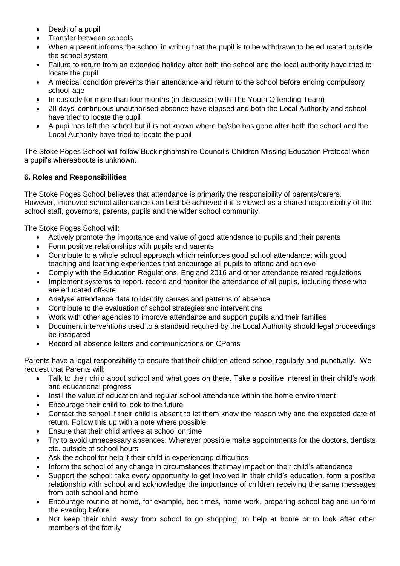- Death of a pupil
- Transfer between schools
- When a parent informs the school in writing that the pupil is to be withdrawn to be educated outside the school system
- Failure to return from an extended holiday after both the school and the local authority have tried to locate the pupil
- A medical condition prevents their attendance and return to the school before ending compulsory school-age
- In custody for more than four months (in discussion with The Youth Offending Team)
- 20 days' continuous unauthorised absence have elapsed and both the Local Authority and school have tried to locate the pupil
- A pupil has left the school but it is not known where he/she has gone after both the school and the Local Authority have tried to locate the pupil

The Stoke Poges School will follow Buckinghamshire Council's Children Missing Education Protocol when a pupil's whereabouts is unknown.

## **6. Roles and Responsibilities**

The Stoke Poges School believes that attendance is primarily the responsibility of parents/carers. However, improved school attendance can best be achieved if it is viewed as a shared responsibility of the school staff, governors, parents, pupils and the wider school community.

The Stoke Poges School will:

- Actively promote the importance and value of good attendance to pupils and their parents
- Form positive relationships with pupils and parents
- Contribute to a whole school approach which reinforces good school attendance; with good teaching and learning experiences that encourage all pupils to attend and achieve
- Comply with the Education Regulations, England 2016 and other attendance related regulations
- Implement systems to report, record and monitor the attendance of all pupils, including those who are educated off-site
- Analyse attendance data to identify causes and patterns of absence
- Contribute to the evaluation of school strategies and interventions
- Work with other agencies to improve attendance and support pupils and their families
- Document interventions used to a standard required by the Local Authority should legal proceedings be instigated
- Record all absence letters and communications on CPoms

Parents have a legal responsibility to ensure that their children attend school regularly and punctually. We request that Parents will:

- Talk to their child about school and what goes on there. Take a positive interest in their child's work and educational progress
- Instil the value of education and regular school attendance within the home environment
- Encourage their child to look to the future
- Contact the school if their child is absent to let them know the reason why and the expected date of return. Follow this up with a note where possible.
- Ensure that their child arrives at school on time
- Try to avoid unnecessary absences. Wherever possible make appointments for the doctors, dentists etc. outside of school hours
- Ask the school for help if their child is experiencing difficulties
- Inform the school of any change in circumstances that may impact on their child's attendance
- Support the school; take every opportunity to get involved in their child's education, form a positive relationship with school and acknowledge the importance of children receiving the same messages from both school and home
- Encourage routine at home, for example, bed times, home work, preparing school bag and uniform the evening before
- Not keep their child away from school to go shopping, to help at home or to look after other members of the family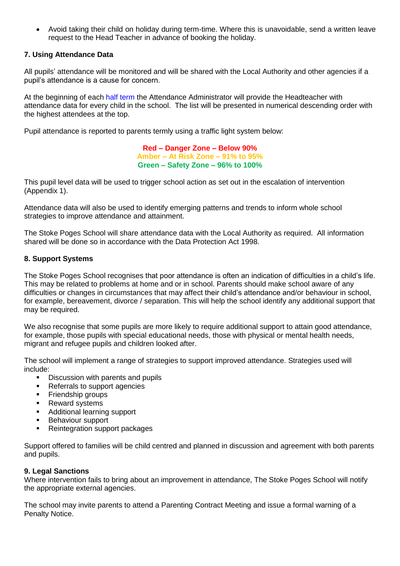• Avoid taking their child on holiday during term-time. Where this is unavoidable, send a written leave request to the Head Teacher in advance of booking the holiday.

## **7. Using Attendance Data**

All pupils' attendance will be monitored and will be shared with the Local Authority and other agencies if a pupil's attendance is a cause for concern.

At the beginning of each half term the Attendance Administrator will provide the Headteacher with attendance data for every child in the school. The list will be presented in numerical descending order with the highest attendees at the top.

Pupil attendance is reported to parents termly using a traffic light system below:

**Red – Danger Zone – Below 90% Amber – At Risk Zone – 91% to 95% Green – Safety Zone – 96% to 100%**

This pupil level data will be used to trigger school action as set out in the escalation of intervention (Appendix 1).

Attendance data will also be used to identify emerging patterns and trends to inform whole school strategies to improve attendance and attainment.

The Stoke Poges School will share attendance data with the Local Authority as required. All information shared will be done so in accordance with the Data Protection Act 1998.

## **8. Support Systems**

The Stoke Poges School recognises that poor attendance is often an indication of difficulties in a child's life. This may be related to problems at home and or in school. Parents should make school aware of any difficulties or changes in circumstances that may affect their child's attendance and/or behaviour in school, for example, bereavement, divorce / separation. This will help the school identify any additional support that may be required.

We also recognise that some pupils are more likely to require additional support to attain good attendance, for example, those pupils with special educational needs, those with physical or mental health needs, migrant and refugee pupils and children looked after.

The school will implement a range of strategies to support improved attendance. Strategies used will include:

- Discussion with parents and pupils
- Referrals to support agencies
- **•** Friendship groups
- Reward systems
- Additional learning support
- Behaviour support
- Reintegration support packages

Support offered to families will be child centred and planned in discussion and agreement with both parents and pupils.

## **9. Legal Sanctions**

Where intervention fails to bring about an improvement in attendance, The Stoke Poges School will notify the appropriate external agencies.

The school may invite parents to attend a Parenting Contract Meeting and issue a formal warning of a Penalty Notice.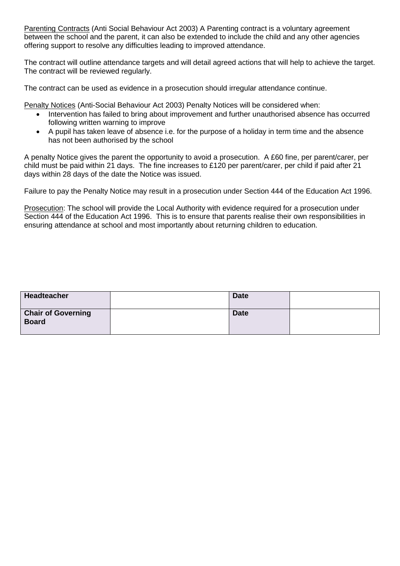Parenting Contracts (Anti Social Behaviour Act 2003) A Parenting contract is a voluntary agreement between the school and the parent, it can also be extended to include the child and any other agencies offering support to resolve any difficulties leading to improved attendance.

The contract will outline attendance targets and will detail agreed actions that will help to achieve the target. The contract will be reviewed regularly.

The contract can be used as evidence in a prosecution should irregular attendance continue.

Penalty Notices (Anti-Social Behaviour Act 2003) Penalty Notices will be considered when:

- Intervention has failed to bring about improvement and further unauthorised absence has occurred following written warning to improve
- A pupil has taken leave of absence i.e. for the purpose of a holiday in term time and the absence has not been authorised by the school

A penalty Notice gives the parent the opportunity to avoid a prosecution. A £60 fine, per parent/carer, per child must be paid within 21 days. The fine increases to £120 per parent/carer, per child if paid after 21 days within 28 days of the date the Notice was issued.

Failure to pay the Penalty Notice may result in a prosecution under Section 444 of the Education Act 1996.

Prosecution: The school will provide the Local Authority with evidence required for a prosecution under Section 444 of the Education Act 1996. This is to ensure that parents realise their own responsibilities in ensuring attendance at school and most importantly about returning children to education.

| Headteacher                               | <b>Date</b> |  |
|-------------------------------------------|-------------|--|
| <b>Chair of Governing</b><br><b>Board</b> | <b>Date</b> |  |